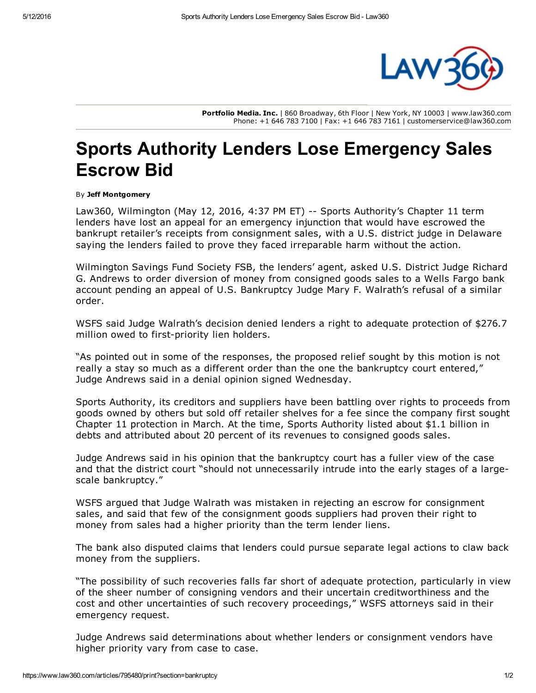

Portfolio Media. Inc. | 860 Broadway, 6th Floor | New York, NY 10003 | www.law360.com Phone: +1 646 783 7100 | Fax: +1 646 783 7161 | customerservice@law360.com

## Sports Authority Lenders Lose Emergency Sales Escrow Bid

## By Jeff Montgomery

Law360, Wilmington (May 12, 2016, 4:37 PM ET) -- Sports [Authority](https://www.law360.com/company/sports-authority-inc)'s Chapter 11 term lenders have lost an appeal for an emergency injunction that would have escrowed the bankrupt retailer's receipts from consignment sales, with a U.S. district judge in Delaware saying the lenders failed to prove they faced irreparable harm without the action.

Wilmington Savings Fund Society FSB, the lenders' agent, asked U.S. District Judge Richard G. Andrews to order diversion of money from consigned goods sales to a Wells [Fargo](https://www.law360.com/company/wells-fargo-co) bank account pending an appeal of U.S. Bankruptcy Judge Mary F. Walrath's refusal of a similar order.

WSFS said Judge Walrath's decision denied lenders a right to adequate protection of \$276.7 million owed to first-priority lien holders.

"As pointed out in some of the responses, the proposed relief sought by this motion is not really a stay so much as a different order than the one the bankruptcy court entered," Judge Andrews said in a denial opinion signed Wednesday.

Sports Authority, its creditors and suppliers have been battling over rights to proceeds from goods owned by others but sold off retailer shelves for a fee since the company first sought Chapter 11 protection in March. At the time, Sports Authority listed about \$1.1 billion in debts and attributed about 20 percent of its revenues to consigned goods sales.

Judge Andrews said in his opinion that the bankruptcy court has a fuller view of the case and that the district court "should not unnecessarily intrude into the early stages of a largescale bankruptcy."

WSFS argued that Judge Walrath was mistaken in rejecting an escrow for consignment sales, and said that few of the consignment goods suppliers had proven their right to money from sales had a higher priority than the term lender liens.

The bank also disputed claims that lenders could pursue separate legal actions to claw back money from the suppliers.

"The possibility of such recoveries falls far short of adequate protection, particularly in view of the sheer number of consigning vendors and their uncertain creditworthiness and the cost and other uncertainties of such recovery proceedings," WSFS attorneys said in their emergency request.

Judge Andrews said determinations about whether lenders or consignment vendors have higher priority vary from case to case.